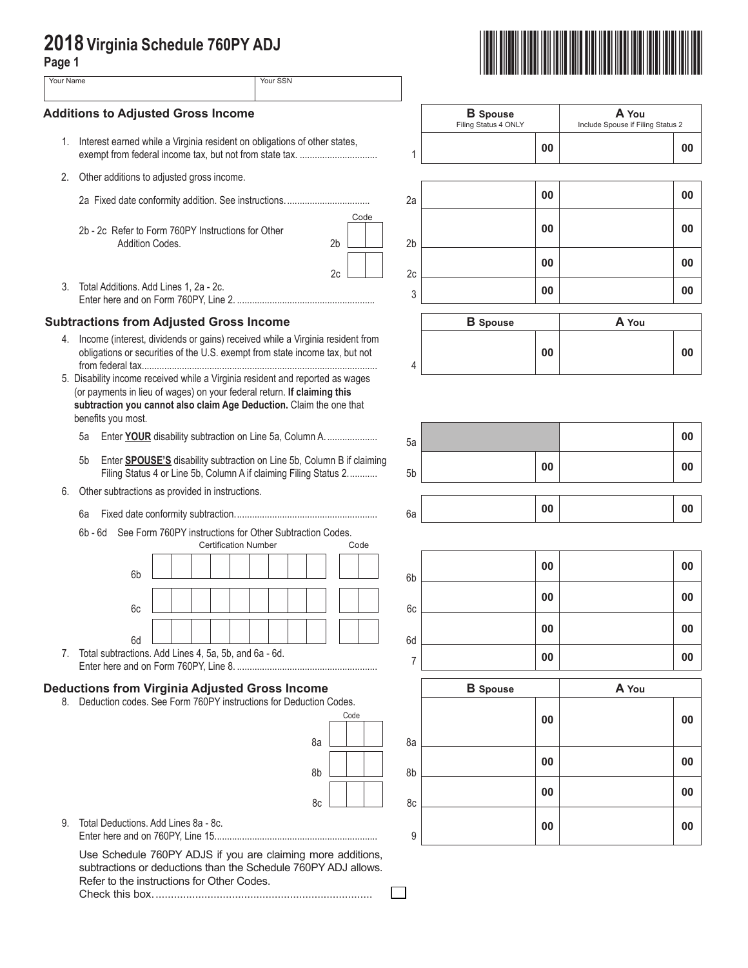## **2018 Virginia Schedule 760PY ADJ**

| 2018 Virginia Schedule 760PY ADJ<br>Page 1 |                                                                                                                                                                                                                                                       |                             |                                 |                        |                 |                                         |                                            |    |
|--------------------------------------------|-------------------------------------------------------------------------------------------------------------------------------------------------------------------------------------------------------------------------------------------------------|-----------------------------|---------------------------------|------------------------|-----------------|-----------------------------------------|--------------------------------------------|----|
| Your Name                                  |                                                                                                                                                                                                                                                       |                             | Your SSN                        |                        |                 |                                         |                                            |    |
|                                            | <b>Additions to Adjusted Gross Income</b>                                                                                                                                                                                                             |                             |                                 |                        |                 | <b>B</b> Spouse<br>Filing Status 4 ONLY | A You<br>Include Spouse if Filing Status 2 |    |
|                                            | 1. Interest earned while a Virginia resident on obligations of other states,                                                                                                                                                                          |                             |                                 |                        | 1               | 00                                      |                                            | 00 |
|                                            | 2. Other additions to adjusted gross income.                                                                                                                                                                                                          |                             |                                 |                        |                 |                                         |                                            |    |
|                                            |                                                                                                                                                                                                                                                       |                             |                                 |                        | 2a              | 00                                      |                                            | 00 |
|                                            | 2b - 2c Refer to Form 760PY Instructions for Other<br>Addition Codes.                                                                                                                                                                                 |                             |                                 | Code<br>2 <sub>b</sub> | 2 <sub>b</sub>  | 00                                      |                                            | 00 |
|                                            |                                                                                                                                                                                                                                                       |                             |                                 | 2c                     | 2c              | 00                                      |                                            | 00 |
| 3.                                         | Total Additions. Add Lines 1, 2a - 2c.                                                                                                                                                                                                                |                             |                                 |                        | 3               | 00                                      |                                            | 00 |
|                                            | <b>Subtractions from Adjusted Gross Income</b>                                                                                                                                                                                                        |                             |                                 |                        |                 | <b>B</b> Spouse                         | A You                                      |    |
|                                            | 4. Income (interest, dividends or gains) received while a Virginia resident from<br>obligations or securities of the U.S. exempt from state income tax, but not                                                                                       |                             |                                 |                        | 4               | 00                                      |                                            | 00 |
|                                            | 5. Disability income received while a Virginia resident and reported as wages<br>(or payments in lieu of wages) on your federal return. If claiming this<br>subtraction you cannot also claim Age Deduction. Claim the one that<br>benefits you most. |                             |                                 |                        |                 |                                         |                                            |    |
|                                            | Enter YOUR disability subtraction on Line 5a, Column A.<br>5a                                                                                                                                                                                         |                             |                                 |                        | 5a              |                                         |                                            | 00 |
|                                            | Enter SPOUSE'S disability subtraction on Line 5b, Column B if claiming<br>5b<br>Filing Status 4 or Line 5b, Column A if claiming Filing Status 2                                                                                                      |                             |                                 |                        | 5b              | 00                                      |                                            | 00 |
| 6.                                         | Other subtractions as provided in instructions.                                                                                                                                                                                                       |                             |                                 |                        |                 | 00                                      |                                            | 00 |
|                                            | 6a<br>6b - 6d See Form 760PY instructions for Other Subtraction Codes.                                                                                                                                                                                |                             |                                 |                        | 6a              |                                         |                                            |    |
|                                            |                                                                                                                                                                                                                                                       | <b>Certification Number</b> | the contract of the contract of | Code                   |                 |                                         |                                            |    |
|                                            | 6b                                                                                                                                                                                                                                                    |                             |                                 |                        | 6b              | 00                                      |                                            | 00 |
|                                            | 6c                                                                                                                                                                                                                                                    |                             |                                 |                        | 6c              | 00                                      |                                            | 00 |
|                                            | 6d                                                                                                                                                                                                                                                    |                             |                                 |                        | 6d              | 00                                      |                                            | 00 |
|                                            | 7. Total subtractions. Add Lines 4, 5a, 5b, and 6a - 6d.                                                                                                                                                                                              |                             |                                 |                        | $\overline{7}$  | 00                                      |                                            | 00 |
|                                            | <b>Deductions from Virginia Adjusted Gross Income</b>                                                                                                                                                                                                 |                             |                                 |                        | <b>B</b> Spouse | A You                                   |                                            |    |
|                                            | 8. Deduction codes. See Form 760PY instructions for Deduction Codes.                                                                                                                                                                                  |                             |                                 | Code                   |                 |                                         |                                            |    |
|                                            |                                                                                                                                                                                                                                                       |                             | 8a                              |                        | 8a              | 00                                      |                                            | 00 |
|                                            |                                                                                                                                                                                                                                                       |                             |                                 |                        |                 | 00                                      |                                            | 00 |
|                                            |                                                                                                                                                                                                                                                       |                             | 8b                              |                        | 8b              | 00                                      |                                            | 00 |
| 9.                                         | Total Deductions, Add Lines 8a - 8c.                                                                                                                                                                                                                  |                             | 8c                              |                        | 8c              |                                         |                                            |    |
|                                            |                                                                                                                                                                                                                                                       |                             |                                 |                        | 9               | 00                                      |                                            | 00 |

 $\Box$ 

Check this box........................................................................